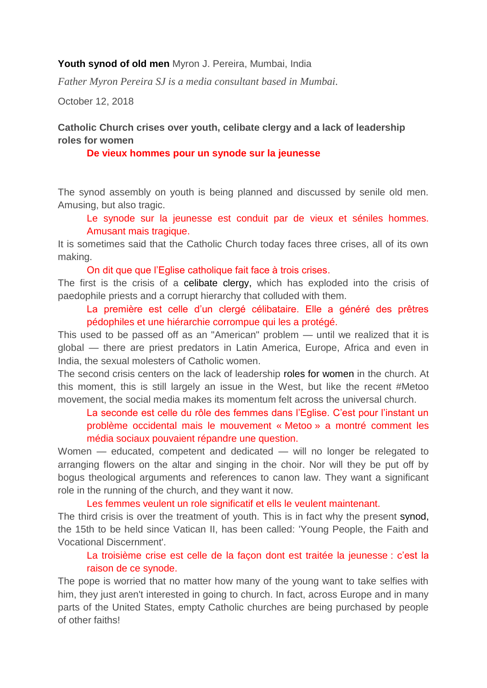### **Youth synod of old men** Myron J. Pereira, Mumbai, India

*Father Myron Pereira SJ is a media consultant based in Mumbai.*

October 12, 2018

# **Catholic Church crises over youth, celibate clergy and a lack of leadership roles for women**

### **De vieux hommes pour un synode sur la jeunesse**

The synod assembly on youth is being planned and discussed by senile old men. Amusing, but also tragic.

Le synode sur la jeunesse est conduit par de vieux et séniles hommes. Amusant mais tragique.

It is sometimes said that the Catholic Church today faces three crises, all of its own making.

On dit que que l'Eglise catholique fait face à trois crises.

The first is the crisis of a [celibate clergy,](https://www.ucanews.com/news/pope-warns-clergy-on-celibate-life-lived-as-sterility/71532) which has exploded into the crisis of paedophile priests and a corrupt hierarchy that colluded with them.

La première est celle d'un clergé célibataire. Elle a généré des prêtres pédophiles et une hiérarchie corrompue qui les a protégé.

This used to be passed off as an "American" problem — until we realized that it is global — there are priest predators in Latin America, Europe, Africa and even in India, the sexual molesters of Catholic women.

The second crisis centers on the lack of leadership [roles for women](https://www.ucanews.com/news/pope-praises-womens-contribution-to-society/79472) in the church. At this moment, this is still largely an issue in the West, but like the recent #Metoo movement, the social media makes its momentum felt across the universal church.

La seconde est celle du rôle des femmes dans l'Eglise. C'est pour l'instant un problème occidental mais le mouvement « Metoo » a montré comment les média sociaux pouvaient répandre une question.

Women — educated, competent and dedicated — will no longer be relegated to arranging flowers on the altar and singing in the choir. Nor will they be put off by bogus theological arguments and references to canon law. They want a significant role in the running of the church, and they want it now.

Les femmes veulent un role significatif et ells le veulent maintenant.

The third crisis is over the treatment of youth. This is in fact why the present [synod,](https://www.ucanews.com/news/pope-says-synod-aims-to-identify-how-to-support-the-faith-of-youth/83534) the 15th to be held since Vatican II, has been called: 'Young People, the Faith and Vocational Discernment'.

## La troisième crise est celle de la façon dont est traitée la jeunesse : c'est la raison de ce synode.

The pope is worried that no matter how many of the young want to take selfies with him, they just aren't interested in going to church. In fact, across Europe and in many parts of the United States, empty Catholic churches are being purchased by people of other faiths!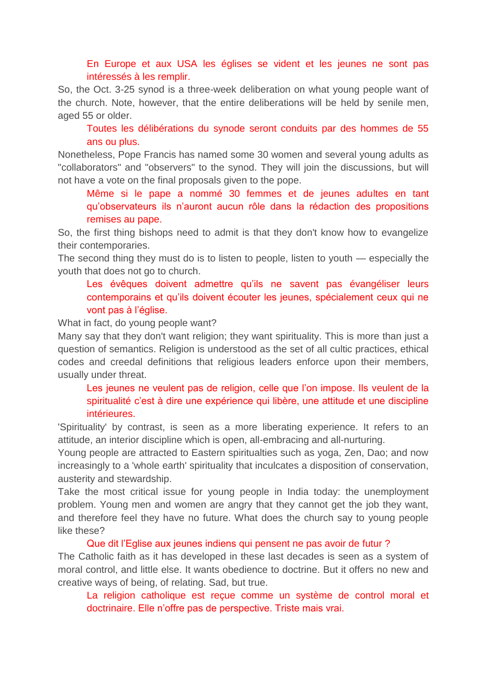## En Europe et aux USA les églises se vident et les jeunes ne sont pas intéressés à les remplir.

So, the Oct. 3-25 synod is a three-week deliberation on what young people want of the church. Note, however, that the entire deliberations will be held by senile men, aged 55 or older.

Toutes les délibérations du synode seront conduits par des hommes de 55 ans ou plus.

Nonetheless, Pope Francis has named some 30 women and several young adults as "collaborators" and "observers" to the synod. They will join the discussions, but will not have a vote on the final proposals given to the pope.

Même si le pape a nommé 30 femmes et de jeunes adultes en tant qu'observateurs ils n'auront aucun rôle dans la rédaction des propositions remises au pape.

So, the first thing bishops need to admit is that they don't know how to evangelize their contemporaries.

The second thing they must do is to listen to people, listen to youth — especially the youth that does not go to church.

Les évêques doivent admettre qu'ils ne savent pas évangéliser leurs contemporains et qu'ils doivent écouter les jeunes, spécialement ceux qui ne vont pas à l'église.

What in fact, do young people want?

Many say that they don't want religion; they want spirituality. This is more than just a question of semantics. Religion is understood as the set of all cultic practices, ethical codes and creedal definitions that religious leaders enforce upon their members, usually under threat.

Les jeunes ne veulent pas de religion, celle que l'on impose. Ils veulent de la spiritualité c'est à dire une expérience qui libère, une attitude et une discipline intérieures.

'Spirituality' by contrast, is seen as a more liberating experience. It refers to an attitude, an interior discipline which is open, all-embracing and all-nurturing.

Young people are attracted to Eastern spiritualties such as yoga, Zen, Dao; and now increasingly to a 'whole earth' spirituality that inculcates a disposition of conservation, austerity and stewardship.

Take the most critical issue for young people in India today: the unemployment problem. Young men and women are angry that they cannot get the job they want, and therefore feel they have no future. What does the church say to young people like these?

### Que dit l'Eglise aux jeunes indiens qui pensent ne pas avoir de futur ?

The Catholic faith as it has developed in these last decades is seen as a system of moral control, and little else. It wants obedience to doctrine. But it offers no new and creative ways of being, of relating. Sad, but true.

La religion catholique est reçue comme un système de control moral et doctrinaire. Elle n'offre pas de perspective. Triste mais vrai.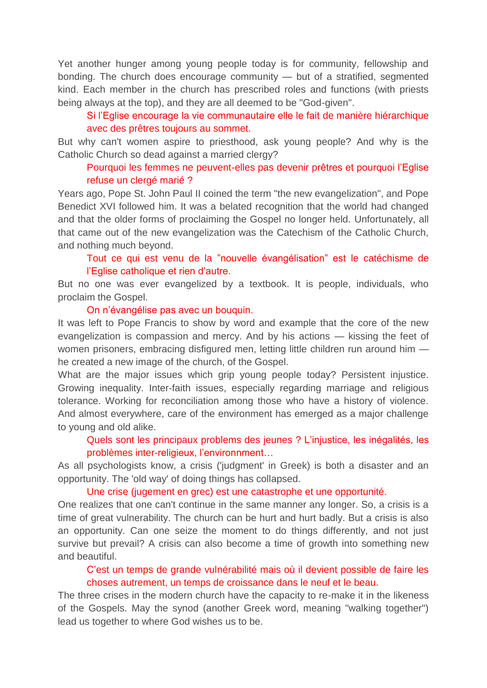Yet another hunger among young people today is for community, fellowship and bonding. The church does encourage community — but of a stratified, segmented kind. Each member in the church has prescribed roles and functions (with priests being always at the top), and they are all deemed to be "God-given".

Si l'Eglise encourage la vie communautaire elle le fait de manière hiérarchique avec des prêtres toujours au sommet.

But why can't women aspire to priesthood, ask young people? And why is the Catholic Church so dead against a married clergy?

## Pourquoi les femmes ne peuvent-elles pas devenir prêtres et pourquoi l'Eglise refuse un clergé marié ?

Years ago, Pope St. John Paul II coined the term "the new evangelization", and Pope Benedict XVI followed him. It was a belated recognition that the world had changed and that the older forms of proclaiming the Gospel no longer held. Unfortunately, all that came out of the new evangelization was the Catechism of the Catholic Church, and nothing much beyond.

Tout ce qui est venu de la "nouvelle évangélisation" est le catéchisme de l'Eglise catholique et rien d'autre.

But no one was ever evangelized by a textbook. It is people, individuals, who proclaim the Gospel.

#### On n'évangélise pas avec un bouquin.

It was left to Pope Francis to show by word and example that the core of the new evangelization is compassion and mercy. And by his actions — kissing the feet of women prisoners, embracing disfigured men, letting little children run around him he created a new image of the church, of the Gospel.

What are the major issues which grip young people today? Persistent injustice. Growing inequality. Inter-faith issues, especially regarding marriage and religious tolerance. Working for reconciliation among those who have a history of violence. And almost everywhere, care of the environment has emerged as a major challenge to young and old alike.

Quels sont les principaux problems des jeunes ? L'injustice, les inégalités, les problèmes inter-religieux, l'environnment…

As all psychologists know, a crisis ('judgment' in Greek) is both a disaster and an opportunity. The 'old way' of doing things has collapsed.

Une crise (jugement en grec) est une catastrophe et une opportunité.

One realizes that one can't continue in the same manner any longer. So, a crisis is a time of great vulnerability. The church can be hurt and hurt badly. But a crisis is also an opportunity. Can one seize the moment to do things differently, and not just survive but prevail? A crisis can also become a time of growth into something new and beautiful.

C'est un temps de grande vulnérabilité mais où il devient possible de faire les choses autrement, un temps de croissance dans le neuf et le beau.

The three crises in the modern church have the capacity to re-make it in the likeness of the Gospels. May the synod (another Greek word, meaning "walking together") lead us together to where God wishes us to be.